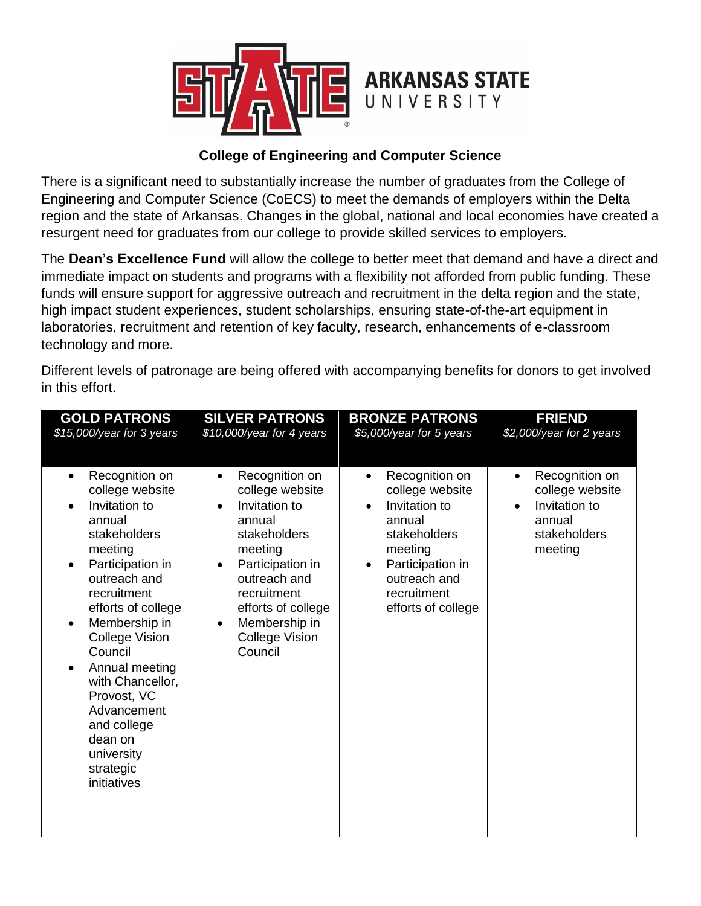

## **College of Engineering and Computer Science**

There is a significant need to substantially increase the number of graduates from the College of Engineering and Computer Science (CoECS) to meet the demands of employers within the Delta region and the state of Arkansas. Changes in the global, national and local economies have created a resurgent need for graduates from our college to provide skilled services to employers.

The **Dean's Excellence Fund** will allow the college to better meet that demand and have a direct and immediate impact on students and programs with a flexibility not afforded from public funding. These funds will ensure support for aggressive outreach and recruitment in the delta region and the state, high impact student experiences, student scholarships, ensuring state-of-the-art equipment in laboratories, recruitment and retention of key faculty, research, enhancements of e-classroom technology and more.

|                                                                                                                                                                                                                                                                                                                                                                                                                                                      | <b>SILVER PATRONS</b>                                                                                                                                                                                                                                                                                  | <b>BRONZE PATRONS</b>                                                                                                                                                                                                               | <b>FRIEND</b>                                                                                                                                 |
|------------------------------------------------------------------------------------------------------------------------------------------------------------------------------------------------------------------------------------------------------------------------------------------------------------------------------------------------------------------------------------------------------------------------------------------------------|--------------------------------------------------------------------------------------------------------------------------------------------------------------------------------------------------------------------------------------------------------------------------------------------------------|-------------------------------------------------------------------------------------------------------------------------------------------------------------------------------------------------------------------------------------|-----------------------------------------------------------------------------------------------------------------------------------------------|
| \$15,000/year for 3 years<br>Recognition on<br>$\bullet$<br>college website<br>Invitation to<br>$\bullet$<br>annual<br>stakeholders<br>meeting<br>Participation in<br>$\bullet$<br>outreach and<br>recruitment<br>efforts of college<br>Membership in<br>$\bullet$<br>College Vision<br>Council<br>Annual meeting<br>$\bullet$<br>with Chancellor,<br>Provost, VC<br>Advancement<br>and college<br>dean on<br>university<br>strategic<br>initiatives | \$10,000/year for 4 years<br>Recognition on<br>$\bullet$<br>college website<br>Invitation to<br>$\bullet$<br>annual<br>stakeholders<br>meeting<br>Participation in<br>$\bullet$<br>outreach and<br>recruitment<br>efforts of college<br>Membership in<br>$\bullet$<br><b>College Vision</b><br>Council | \$5,000/year for 5 years<br>Recognition on<br>$\bullet$<br>college website<br>Invitation to<br>$\bullet$<br>annual<br>stakeholders<br>meeting<br>Participation in<br>$\bullet$<br>outreach and<br>recruitment<br>efforts of college | \$2,000/year for 2 years<br>Recognition on<br>$\bullet$<br>college website<br>Invitation to<br>$\bullet$<br>annual<br>stakeholders<br>meeting |

Different levels of patronage are being offered with accompanying benefits for donors to get involved in this effort.